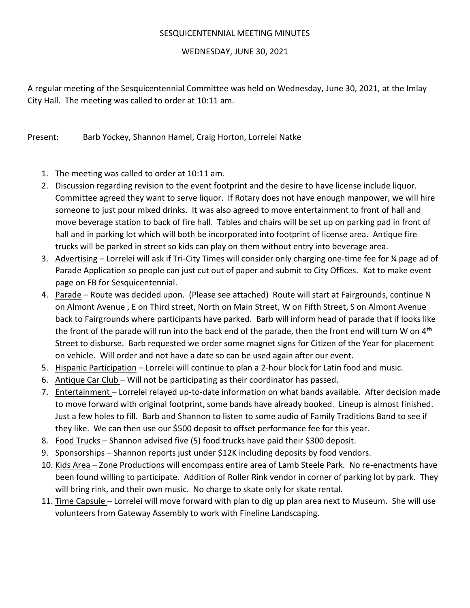## SESQUICENTENNIAL MEETING MINUTES

## WEDNESDAY, JUNE 30, 2021

A regular meeting of the Sesquicentennial Committee was held on Wednesday, June 30, 2021, at the Imlay City Hall. The meeting was called to order at 10:11 am.

Present: Barb Yockey, Shannon Hamel, Craig Horton, Lorrelei Natke

- 1. The meeting was called to order at 10:11 am.
- 2. Discussion regarding revision to the event footprint and the desire to have license include liquor. Committee agreed they want to serve liquor. If Rotary does not have enough manpower, we will hire someone to just pour mixed drinks. It was also agreed to move entertainment to front of hall and move beverage station to back of fire hall. Tables and chairs will be set up on parking pad in front of hall and in parking lot which will both be incorporated into footprint of license area. Antique fire trucks will be parked in street so kids can play on them without entry into beverage area.
- 3. Advertising Lorrelei will ask if Tri-City Times will consider only charging one-time fee for 1/4 page ad of Parade Application so people can just cut out of paper and submit to City Offices. Kat to make event page on FB for Sesquicentennial.
- 4. Parade Route was decided upon. (Please see attached) Route will start at Fairgrounds, continue N on Almont Avenue , E on Third street, North on Main Street, W on Fifth Street, S on Almont Avenue back to Fairgrounds where participants have parked. Barb will inform head of parade that if looks like the front of the parade will run into the back end of the parade, then the front end will turn W on  $4<sup>th</sup>$ Street to disburse. Barb requested we order some magnet signs for Citizen of the Year for placement on vehicle. Will order and not have a date so can be used again after our event.
- 5. Hispanic Participation Lorrelei will continue to plan a 2-hour block for Latin food and music.
- 6. Antique Car Club Will not be participating as their coordinator has passed.
- 7. Entertainment Lorrelei relayed up-to-date information on what bands available. After decision made to move forward with original footprint, some bands have already booked. Lineup is almost finished. Just a few holes to fill. Barb and Shannon to listen to some audio of Family Traditions Band to see if they like. We can then use our \$500 deposit to offset performance fee for this year.
- 8. Food Trucks Shannon advised five (5) food trucks have paid their \$300 deposit.
- 9. Sponsorships Shannon reports just under \$12K including deposits by food vendors.
- 10. Kids Area Zone Productions will encompass entire area of Lamb Steele Park. No re-enactments have been found willing to participate. Addition of Roller Rink vendor in corner of parking lot by park. They will bring rink, and their own music. No charge to skate only for skate rental.
- 11. Time Capsule Lorrelei will move forward with plan to dig up plan area next to Museum. She will use volunteers from Gateway Assembly to work with Fineline Landscaping.